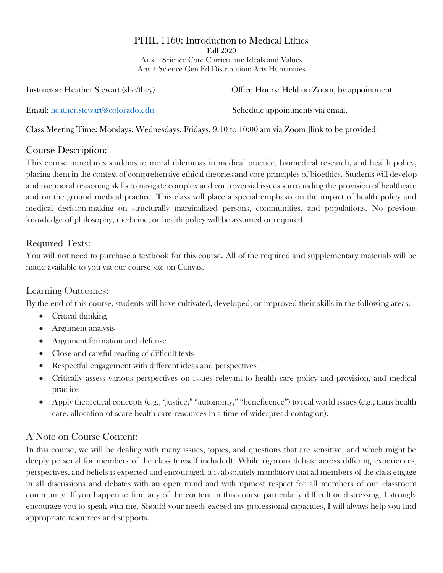## PHIL 1160: Introduction to Medical Ethics

Fall 2020 Arts + Science Core Curriculum: Ideals and Values Arts + Science Gen Ed Distribution: Arts Humanities

Instructor: Heather Stewart (she/they) Office Hours: Held on Zoom, by appointment Email: [heather.stewart@colorado.edu](mailto:heather.stewart@colorado.edu) Schedule appointments via email.

Class Meeting Time: Mondays, Wednesdays, Fridays, 9:10 to 10:00 am via Zoom [link to be provided]

### Course Description:

This course introduces students to moral dilemmas in medical practice, biomedical research, and health policy, placing them in the context of comprehensive ethical theories and core principles of bioethics. Students will develop and use moral reasoning skills to navigate complex and controversial issues surrounding the provision of healthcare and on the ground medical practice. This class will place a special emphasis on the impact of health policy and medical decision-making on structurally marginalized persons, communities, and populations. No previous knowledge of philosophy, medicine, or health policy will be assumed or required.

## Required Texts:

You will not need to purchase a textbook for this course. All of the required and supplementary materials will be made available to you via our course site on Canvas.

### Learning Outcomes:

By the end of this course, students will have cultivated, developed, or improved their skills in the following areas:

- Critical thinking
- Argument analysis
- Argument formation and defense
- Close and careful reading of difficult texts
- Respectful engagement with different ideas and perspectives
- Critically assess various perspectives on issues relevant to health care policy and provision, and medical practice
- Apply theoretical concepts (e.g., "justice," "autonomy," "beneficence") to real world issues (e.g., trans health care, allocation of scare health care resources in a time of widespread contagion).

## A Note on Course Content:

In this course, we will be dealing with many issues, topics, and questions that are sensitive, and which might be deeply personal for members of the class (myself included). While rigorous debate across differing experiences, perspectives, and beliefs is expected and encouraged, it is absolutely mandatory that all members of the class engage in all discussions and debates with an open mind and with upmost respect for all members of our classroom community. If you happen to find any of the content in this course particularly difficult or distressing, I strongly encourage you to speak with me. Should your needs exceed my professional capacities, I will always help you find appropriate resources and supports.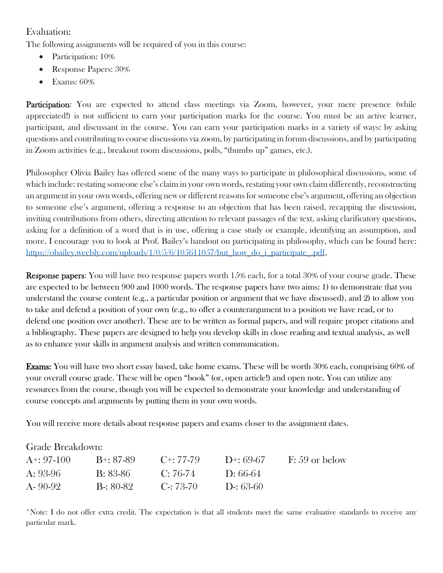#### Evaluation:

The following assignments will be required of you in this course:

- Participation: 10%
- Response Papers: 30%
- Exams: 60%

Participation: You are expected to attend class meetings via Zoom, however, your mere presence (while appreciated!) is not sufficient to earn your participation marks for the course. You must be an active learner, participant, and discussant in the course. You can earn your participation marks in a variety of ways: by asking questions and contributing to course discussions via zoom, by participating in forum discussions, and by participating in Zoom activities (e.g., breakout room discussions, polls, "thumbs up" games, etc.).

Philosopher Olivia Bailey has offered some of the many ways to participate in philosophical discussions, some of which include: restating someone else's claim in your own words, restating your own claim differently, reconstructing an argument in your own words, offering new or different reasons for someone else's argument, offering an objection to someone else's argument, offering a response to an objection that has been raised, recapping the discussion, inviting contributions from others, directing attention to relevant passages of the text, asking clarificatory questions, asking for a definition of a word that is in use, offering a case study or example, identifying an assumption, and more. I encourage you to look at Prof. Bailey's handout on participating in philosophy, which can be found here: [https://obailey.weebly.com/uploads/1/0/5/6/105611057/but\\_how\\_do\\_i\\_participate\\_.pdf.](https://obailey.weebly.com/uploads/1/0/5/6/105611057/but_how_do_i_participate_.pdf)

Response papers: You will have two response papers worth 15% each, for a total 30% of your course grade. These are expected to be between 900 and 1000 words. The response papers have two aims: 1) to demonstrate that you understand the course content (e.g., a particular position or argument that we have discussed), and 2) to allow you to take and defend a position of your own (e.g., to offer a counterargument to a position we have read, or to defend one position over another). These are to be written as formal papers, and will require proper citations and a bibliography. These papers are designed to help you develop skills in close reading and textual analysis, as well as to enhance your skills in argument analysis and written communication.

Exams: You will have two short essay based, take home exams. These will be worth 30% each, comprising 60% of your overall course grade. These will be open "book" (or, open article!) and open note. You can utilize any resources from the course, though you will be expected to demonstrate your knowledge and understanding of course concepts and arguments by putting them in your own words.

You will receive more details about response papers and exams closer to the assignment dates.

#### Grade Breakdown:

| $A^{+}$ : 97-100 | B+: 87-89         | $C^{+}$ : 77-79   | $1)+:69-67$ | $F: 59$ or below |
|------------------|-------------------|-------------------|-------------|------------------|
| $A: 93-96$       | B: 83-86          | $C: 76-74$        | 1:66-64     |                  |
| $A - 90 - 92$    | <b>B</b> -: 80-82 | $C_{\Xi}$ : 73-70 | D-: 63-60   |                  |

\*Note: I do not offer extra credit. The expectation is that all students meet the same evaluative standards to receive any particular mark.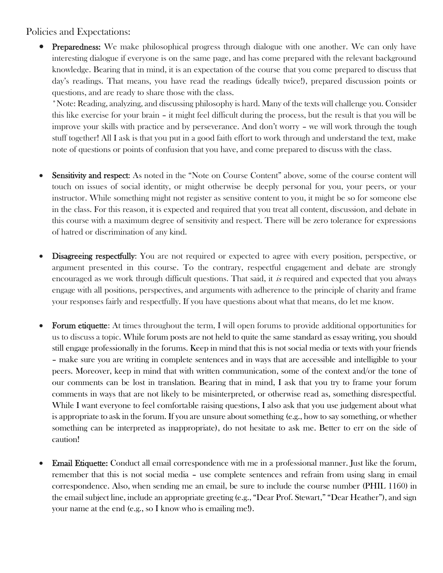#### Policies and Expectations:

• Preparedness: We make philosophical progress through dialogue with one another. We can only have interesting dialogue if everyone is on the same page, and has come prepared with the relevant background knowledge. Bearing that in mind, it is an expectation of the course that you come prepared to discuss that day's readings. That means, you have read the readings (ideally twice!), prepared discussion points or questions, and are ready to share those with the class.

\*Note: Reading, analyzing, and discussing philosophy is hard. Many of the texts will challenge you. Consider this like exercise for your brain – it might feel difficult during the process, but the result is that you will be improve your skills with practice and by perseverance. And don't worry – we will work through the tough stuff together! All I ask is that you put in a good faith effort to work through and understand the text, make note of questions or points of confusion that you have, and come prepared to discuss with the class.

- Sensitivity and respect: As noted in the "Note on Course Content" above, some of the course content will touch on issues of social identity, or might otherwise be deeply personal for you, your peers, or your instructor. While something might not register as sensitive content to you, it might be so for someone else in the class. For this reason, it is expected and required that you treat all content, discussion, and debate in this course with a maximum degree of sensitivity and respect. There will be zero tolerance for expressions of hatred or discrimination of any kind.
- Disagreeing respectfully: You are not required or expected to agree with every position, perspective, or argument presented in this course. To the contrary, respectful engagement and debate are strongly encouraged as we work through difficult questions. That said, it is required and expected that you always engage with all positions, perspectives, and arguments with adherence to the principle of charity and frame your responses fairly and respectfully. If you have questions about what that means, do let me know.
- Forum etiquette: At times throughout the term, I will open forums to provide additional opportunities for us to discuss a topic. While forum posts are not held to quite the same standard as essay writing, you should still engage professionally in the forums. Keep in mind that this is not social media or texts with your friends – make sure you are writing in complete sentences and in ways that are accessible and intelligible to your peers. Moreover, keep in mind that with written communication, some of the context and/or the tone of our comments can be lost in translation. Bearing that in mind, I ask that you try to frame your forum comments in ways that are not likely to be misinterpreted, or otherwise read as, something disrespectful. While I want everyone to feel comfortable raising questions, I also ask that you use judgement about what is appropriate to ask in the forum. If you are unsure about something (e.g., how to say something, or whether something can be interpreted as inappropriate), do not hesitate to ask me. Better to err on the side of caution!
- Email Etiquette: Conduct all email correspondence with me in a professional manner. Just like the forum, remember that this is not social media – use complete sentences and refrain from using slang in email correspondence. Also, when sending me an email, be sure to include the course number (PHIL 1160) in the email subject line, include an appropriate greeting (e.g., "Dear Prof. Stewart," "Dear Heather"), and sign your name at the end (e.g., so I know who is emailing me!).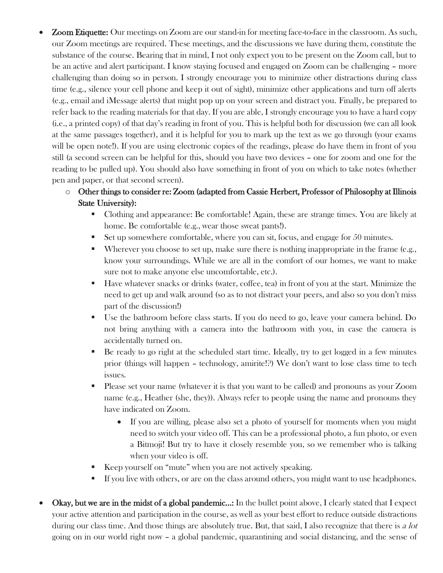- Zoom Etiquette: Our meetings on Zoom are our stand-in for meeting face-to-face in the classroom. As such, our Zoom meetings are required. These meetings, and the discussions we have during them, constitute the substance of the course. Bearing that in mind, I not only expect you to be present on the Zoom call, but to be an active and alert participant. I know staying focused and engaged on Zoom can be challenging – more challenging than doing so in person. I strongly encourage you to minimize other distractions during class time (e.g., silence your cell phone and keep it out of sight), minimize other applications and turn off alerts (e.g., email and iMessage alerts) that might pop up on your screen and distract you. Finally, be prepared to refer back to the reading materials for that day. If you are able, I strongly encourage you to have a hard copy (i.e., a printed copy) of that day's reading in front of you. This is helpful both for discussion (we can all look at the same passages together), and it is helpful for you to mark up the text as we go through (your exams will be open note!). If you are using electronic copies of the readings, please do have them in front of you still (a second screen can be helpful for this, should you have two devices – one for zoom and one for the reading to be pulled up). You should also have something in front of you on which to take notes (whether pen and paper, or that second screen).
	- o Other things to consider re: Zoom (adapted from Cassie Herbert, Professor of Philosophy at Illinois State University):
		- Clothing and appearance: Be comfortable! Again, these are strange times. You are likely at home. Be comfortable (e.g., wear those sweat pants!).
		- $\blacksquare$  Set up somewhere comfortable, where you can sit, focus, and engage for 50 minutes.
		- Wherever you choose to set up, make sure there is nothing inappropriate in the frame (e.g., know your surroundings. While we are all in the comfort of our homes, we want to make sure not to make anyone else uncomfortable, etc.).
		- Have whatever snacks or drinks (water, coffee, tea) in front of you at the start. Minimize the need to get up and walk around (so as to not distract your peers, and also so you don't miss part of the discussion!)
		- Use the bathroom before class starts. If you do need to go, leave your camera behind. Do not bring anything with a camera into the bathroom with you, in case the camera is accidentally turned on.
		- Be ready to go right at the scheduled start time. Ideally, try to get logged in a few minutes prior (things will happen – technology, amirite!?) We don't want to lose class time to tech issues.
		- **•** Please set your name (whatever it is that you want to be called) and pronouns as your Zoom name (e.g., Heather (she, they)). Always refer to people using the name and pronouns they have indicated on Zoom.
			- If you are willing, please also set a photo of yourself for moments when you might need to switch your video off. This can be a professional photo, a fun photo, or even a Bitmoji! But try to have it closely resemble you, so we remember who is talking when your video is off.
		- Keep yourself on "mute" when you are not actively speaking.
		- **•** If you live with others, or are on the class around others, you might want to use headphones.
- Okay, but we are in the midst of a global pandemic...: In the bullet point above, I clearly stated that I expect your active attention and participation in the course, as well as your best effort to reduce outside distractions during our class time. And those things are absolutely true. But, that said, I also recognize that there is a lot going on in our world right now – a global pandemic, quarantining and social distancing, and the sense of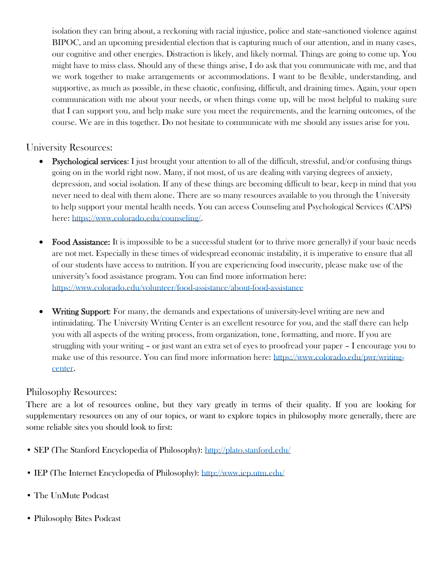isolation they can bring about, a reckoning with racial injustice, police and state-sanctioned violence against BIPOC, and an upcoming presidential election that is capturing much of our attention, and in many cases, our cognitive and other energies. Distraction is likely, and likely normal. Things are going to come up. You might have to miss class. Should any of these things arise, I do ask that you communicate with me, and that we work together to make arrangements or accommodations. I want to be flexible, understanding, and supportive, as much as possible, in these chaotic, confusing, difficult, and draining times. Again, your open communication with me about your needs, or when things come up, will be most helpful to making sure that I can support you, and help make sure you meet the requirements, and the learning outcomes, of the course. We are in this together. Do not hesitate to communicate with me should any issues arise for you.

#### University Resources:

- Psychological services: I just brought your attention to all of the difficult, stressful, and/or confusing things going on in the world right now. Many, if not most, of us are dealing with varying degrees of anxiety, depression, and social isolation. If any of these things are becoming difficult to bear, keep in mind that you never need to deal with them alone. There are so many resources available to you through the University to help support your mental health needs. You can access Counseling and Psychological Services (CAPS) here: [https://www.colorado.edu/counseling/.](https://www.colorado.edu/counseling/)
- Food Assistance: It is impossible to be a successful student (or to thrive more generally) if your basic needs are not met. Especially in these times of widespread economic instability, it is imperative to ensure that all of our students have access to nutrition. If you are experiencing food insecurity, please make use of the university's food assistance program. You can find more information here: <https://www.colorado.edu/volunteer/food-assistance/about-food-assistance>
- Writing Support: For many, the demands and expectations of university-level writing are new and intimidating. The University Writing Center is an excellent resource for you, and the staff there can help you with all aspects of the writing process, from organization, tone, formatting, and more. If you are struggling with your writing – or just want an extra set of eyes to proofread your paper – I encourage you to make use of this resource. You can find more information here: [https://www.colorado.edu/pwr/writing](https://www.colorado.edu/pwr/writing-center)[center.](https://www.colorado.edu/pwr/writing-center)

#### Philosophy Resources:

There are a lot of resources online, but they vary greatly in terms of their quality. If you are looking for supplementary resources on any of our topics, or want to explore topics in philosophy more generally, there are some reliable sites you should look to first:

- SEP (The Stanford Encyclopedia of Philosophy): <http://plato.stanford.edu/>
- IEP (The Internet Encyclopedia of Philosophy): <http://www.iep.utm.edu/>
- The UnMute Podcast
- Philosophy Bites Podcast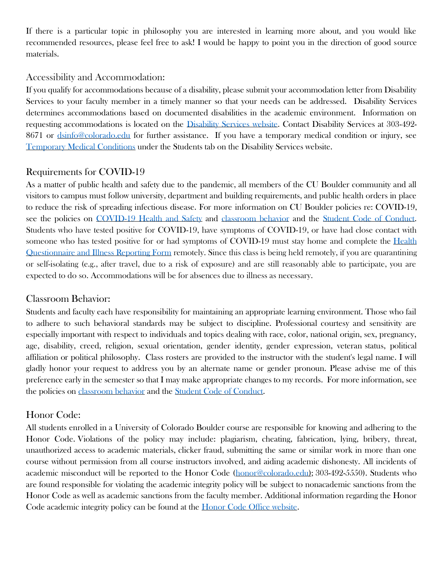If there is a particular topic in philosophy you are interested in learning more about, and you would like recommended resources, please feel free to ask! I would be happy to point you in the direction of good source materials.

#### Accessibility and Accommodation:

If you qualify for accommodations because of a disability, please submit your accommodation letter from Disability Services to your faculty member in a timely manner so that your needs can be addressed. Disability Services determines accommodations based on documented disabilities in the academic environment. Information on requesting accommodations is located on the [Disability Services](http://www.colorado.edu/disabilityservices/students) website. Contact Disability Services at 303-492- 8671 or [dsinfo@colorado.edu](mailto:dsinfo@colorado.edu) for further assistance. If you have a temporary medical condition or injury, see [Temporary Medical Conditions](http://www.colorado.edu/disabilityservices/students/temporary-medical-conditions) under the Students tab on the Disability Services website.

### Requirements for COVID-19

As a matter of public health and safety due to the pandemic, all members of the CU Boulder community and all visitors to campus must follow university, department and building requirements, and public health orders in place to reduce the risk of spreading infectious disease. For more information on CU Boulder policies re: COVID-19, see the policies on [COVID-19 Health and Safety](https://www.colorado.edu/policies/covid-19-health-and-safety-policy) and [classroom behavior](http://www.colorado.edu/policies/student-classroom-and-course-related-behavior) and the [Student Code of Conduct.](http://www.colorado.edu/osccr/) Students who have tested positive for COVID-19, have symptoms of COVID-19, or have had close contact with someone who has tested positive for or had symptoms of COVID-19 must stay home and complete the [Health](https://www.colorado.edu/protect-our-herd/daily-health-form)  [Questionnaire and Illness Reporting Form](https://www.colorado.edu/protect-our-herd/daily-health-form) remotely. Since this class is being held remotely, if you are quarantining or self-isolating (e.g., after travel, due to a risk of exposure) and are still reasonably able to participate, you are expected to do so. Accommodations will be for absences due to illness as necessary.

#### Classroom Behavior:

Students and faculty each have responsibility for maintaining an appropriate learning environment. Those who fail to adhere to such behavioral standards may be subject to discipline. Professional courtesy and sensitivity are especially important with respect to individuals and topics dealing with race, color, national origin, sex, pregnancy, age, disability, creed, religion, sexual orientation, gender identity, gender expression, veteran status, political affiliation or political philosophy. Class rosters are provided to the instructor with the student's legal name. I will gladly honor your request to address you by an alternate name or gender pronoun. Please advise me of this preference early in the semester so that I may make appropriate changes to my records. For more information, see the policies on [classroom behavior](http://www.colorado.edu/policies/student-classroom-and-course-related-behavior) and the [Student Code of Conduct.](http://www.colorado.edu/osccr/)

## Honor Code:

All students enrolled in a University of Colorado Boulder course are responsible for knowing and adhering to the Honor Code. Violations of the policy may include: plagiarism, cheating, fabrication, lying, bribery, threat, unauthorized access to academic materials, clicker fraud, submitting the same or similar work in more than one course without permission from all course instructors involved, and aiding academic dishonesty. All incidents of academic misconduct will be reported to the Honor Code [\(honor@colorado.edu\)](mailto:honor@colorado.edu); 303-492-5550). Students who are found responsible for violating the academic integrity policy will be subject to nonacademic sanctions from the Honor Code as well as academic sanctions from the faculty member. Additional information regarding the Honor Code academic integrity policy can be found at the [Honor Code Office website.](https://www.colorado.edu/osccr/honor-code)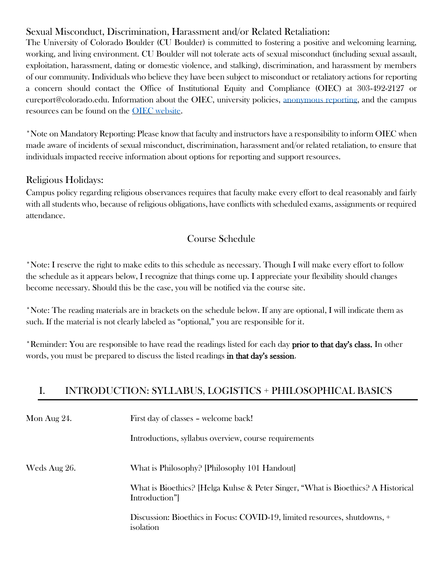## Sexual Misconduct, Discrimination, Harassment and/or Related Retaliation:

The University of Colorado Boulder (CU Boulder) is committed to fostering a positive and welcoming learning, working, and living environment. CU Boulder will not tolerate acts of sexual misconduct (including sexual assault, exploitation, harassment, dating or domestic violence, and stalking), discrimination, and harassment by members of our community. Individuals who believe they have been subject to misconduct or retaliatory actions for reporting a concern should contact the Office of Institutional Equity and Compliance (OIEC) at 303-492-2127 or cureport@colorado.edu. Information about the OIEC, university policies, [anonymous reporting,](https://cuboulder.qualtrics.com/jfe/form/SV_0PnqVK4kkIJIZnf) and the campus resources can be found on the [OIEC website.](http://www.colorado.edu/institutionalequity/)

\*Note on Mandatory Reporting: Please know that faculty and instructors have a responsibility to inform OIEC when made aware of incidents of sexual misconduct, discrimination, harassment and/or related retaliation, to ensure that individuals impacted receive information about options for reporting and support resources.

#### Religious Holidays:

Campus policy regarding religious observances requires that faculty make every effort to deal reasonably and fairly with all students who, because of religious obligations, have conflicts with scheduled exams, assignments or required attendance.

#### Course Schedule

\*Note: I reserve the right to make edits to this schedule as necessary. Though I will make every effort to follow the schedule as it appears below, I recognize that things come up. I appreciate your flexibility should changes become necessary. Should this be the case, you will be notified via the course site.

\*Note: The reading materials are in brackets on the schedule below. If any are optional, I will indicate them as such. If the material is not clearly labeled as "optional," you are responsible for it.

\*Reminder: You are responsible to have read the readings listed for each day **prior to that day's class.** In other words, you must be prepared to discuss the listed readings in that day's session.

## I. INTRODUCTION: SYLLABUS, LOGISTICS + PHILOSOPHICAL BASICS

| Mon Aug 24.  | First day of classes – welcome back!                                                              |
|--------------|---------------------------------------------------------------------------------------------------|
|              | Introductions, syllabus overview, course requirements                                             |
| Weds Aug 26. | What is Philosophy? [Philosophy 101 Handout]                                                      |
|              | What is Bioethics? [Helga Kuhse & Peter Singer, "What is Bioethics? A Historical<br>Introduction" |
|              | Discussion: Bioethics in Focus: COVID-19, limited resources, shutdowns, +<br>isolation            |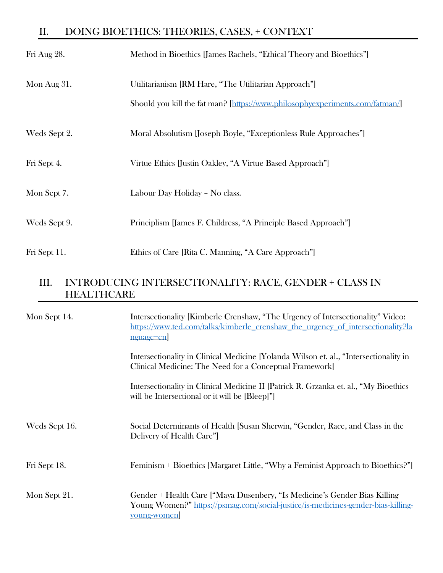# II. DOING BIOETHICS: THEORIES, CASES, + CONTEXT

| Fri Aug 28.    | Method in Bioethics [James Rachels, "Ethical Theory and Bioethics"]          |
|----------------|------------------------------------------------------------------------------|
| Mon Aug $31$ . | Utilitarianism [RM Hare, "The Utilitarian Approach"]                         |
|                | Should you kill the fat man? [https://www.philosophyexperiments.com/fatman/] |
| Weds Sept 2.   | Moral Absolutism [Joseph Boyle, "Exceptionless Rule Approaches"]             |
| Fri Sept 4.    | Virtue Ethics [Justin Oakley, "A Virtue Based Approach"]                     |
| Mon Sept 7.    | Labour Day Holiday - No class.                                               |
| Weds Sept 9.   | Principlism [James F. Childress, "A Principle Based Approach"]               |
| Fri Sept 11.   | Ethics of Care [Rita C. Manning, "A Care Approach"]                          |

## III. INTRODUCING INTERSECTIONALITY: RACE, GENDER + CLASS IN **HEALTHCARE**

| Mon Sept 14.  | Intersectionality [Kimberle Crenshaw, "The Urgency of Intersectionality" Video:<br>https://www.ted.com/talks/kimberle_crenshaw_the_urgency_of_intersectionality?la<br>nguage=en] |
|---------------|----------------------------------------------------------------------------------------------------------------------------------------------------------------------------------|
|               | Intersectionality in Clinical Medicine [Yolanda Wilson et. al., "Intersectionality in<br>Clinical Medicine: The Need for a Conceptual Framework]                                 |
|               | Intersectionality in Clinical Medicine II [Patrick R. Grzanka et. al., "My Bioethics"]<br>will be Intersectional or it will be [Bleep]"]                                         |
| Weds Sept 16. | Social Determinants of Health [Susan Sherwin, "Gender, Race, and Class in the<br>Delivery of Health Care"                                                                        |
| Fri Sept 18.  | Feminism + Bioethics [Margaret Little, "Why a Feminist Approach to Bioethics?"]                                                                                                  |
| Mon Sept 21.  | Gender + Health Care ["Maya Dusenbery, "Is Medicine's Gender Bias Killing<br>Young Women?" https://psmag.com/social-justice/is-medicines-gender-bias-killing-<br>young-women     |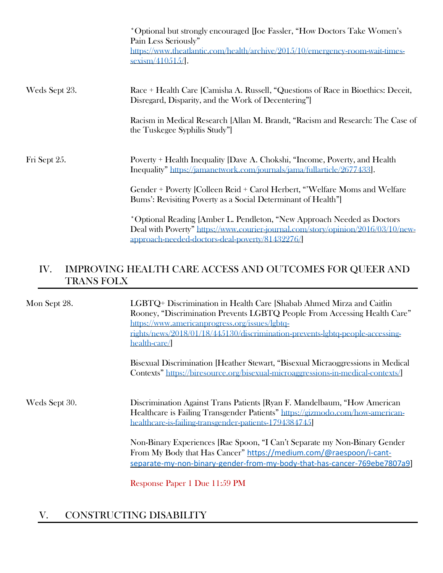|               | *Optional but strongly encouraged [Joe Fassler, "How Doctors Take Women's<br>Pain Less Seriously"<br>https://www.theatlantic.com/health/archive/2015/10/emergency-room-wait-times-<br>$sexism/410515/$ .     |
|---------------|--------------------------------------------------------------------------------------------------------------------------------------------------------------------------------------------------------------|
| Weds Sept 23. | Race + Health Care [Camisha A. Russell, "Questions of Race in Bioethics: Deceit,<br>Disregard, Disparity, and the Work of Decentering"                                                                       |
|               | Racism in Medical Research [Allan M. Brandt, "Racism and Research: The Case of<br>the Tuskegee Syphilis Study"                                                                                               |
| Fri Sept 25.  | Poverty + Health Inequality [Dave A. Chokshi, "Income, Poverty, and Health<br>Inequality" https://jamanetwork.com/journals/jama/fullarticle/2677433.                                                         |
|               | Gender + Poverty [Colleen Reid + Carol Herbert, "Welfare Moms and Welfare<br>Bums': Revisiting Poverty as a Social Determinant of Health"]                                                                   |
|               | *Optional Reading [Amber L. Pendleton, "New Approach Needed as Doctors<br>Deal with Poverty" https://www.courier-journal.com/story/opinion/2016/03/10/new-<br>approach-needed-doctors-deal-poverty/81432276/ |

## IV. IMPROVING HEALTH CARE ACCESS AND OUTCOMES FOR QUEER AND TRANS FOLX

| Mon Sept 28.  | LGBTQ+ Discrimination in Health Care [Shabab Ahmed Mirza and Caitlin<br>Rooney, "Discrimination Prevents LGBTQ People From Accessing Health Care"<br>https://www.americanprogress.org/issues/lgbtq-<br>rights/news/2018/01/18/445130/discrimination-prevents-lgbtq-people-accessing-<br>health-care/ |
|---------------|------------------------------------------------------------------------------------------------------------------------------------------------------------------------------------------------------------------------------------------------------------------------------------------------------|
|               | Bisexual Discrimination [Heather Stewart, "Bisexual Micraoggressions in Medical<br>Contexts" https://biresource.org/bisexual-microaggressions-in-medical-contexts/                                                                                                                                   |
| Weds Sept 30. | Discrimination Against Trans Patients [Ryan F. Mandelbaum, "How American"<br>Healthcare is Failing Transgender Patients" https://gizmodo.com/how-american-<br>healthcare-is-failing-transgender-patients-1794384745                                                                                  |
|               | Non-Binary Experiences [Rae Spoon, "I Can't Separate my Non-Binary Gender<br>From My Body that Has Cancer" https://medium.com/@raespoon/i-cant-<br>separate-my-non-binary-gender-from-my-body-that-has-cancer-769ebe7807a9]                                                                          |
|               | $\mathbf{n}$ $\mathbf{n}$ $\mathbf{n}$ $\mathbf{n}$ $\mathbf{n}$ $\mathbf{n}$                                                                                                                                                                                                                        |

Response Paper 1 Due 11:59 PM

## V. CONSTRUCTING DISABILITY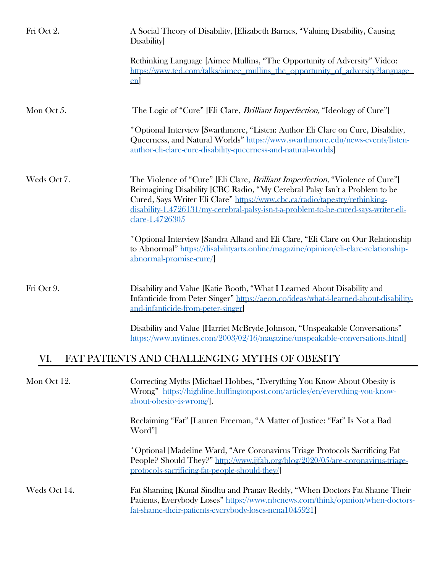| Fri Oct 2.   | A Social Theory of Disability, [Elizabeth Barnes, "Valuing Disability, Causing<br><b>Disability</b>                                                                                                                                                                                                                                                            |
|--------------|----------------------------------------------------------------------------------------------------------------------------------------------------------------------------------------------------------------------------------------------------------------------------------------------------------------------------------------------------------------|
|              | Rethinking Language [Aimee Mullins, "The Opportunity of Adversity" Video:<br>https://www.ted.com/talks/aimee_mullins_the_opportunity_of_adversity?language=<br>en                                                                                                                                                                                              |
| Mon Oct 5.   | The Logic of "Cure" [Eli Clare, <i>Brilliant Imperfection</i> , "Ideology of Cure"]                                                                                                                                                                                                                                                                            |
|              | *Optional Interview [Swarthmore, "Listen: Author Eli Clare on Cure, Disability,<br>Queerness, and Natural Worlds" https://www.swarthmore.edu/news-events/listen-<br>author-eli-clare-cure-disability-queerness-and-natural-worlds                                                                                                                              |
| Weds Oct 7.  | The Violence of "Cure" [Eli Clare, <i>Brilliant Imperfection</i> , "Violence of Cure"]<br>Reimagining Disability [CBC Radio, "My Cerebral Palsy Isn't a Problem to be<br>Cured, Says Writer Eli Clare" https://www.cbc.ca/radio/tapestry/rethinking-<br>disability-1.4726131/my-cerebral-palsy-isn-t-a-problem-to-be-cured-says-writer-eli-<br>clare-1.4726305 |
|              | *Optional Interview [Sandra Alland and Eli Clare, "Eli Clare on Our Relationship<br>to Abnormal" https://disabilityarts.online/magazine/opinion/eli-clare-relationship-<br>abnormal-promise-cure/                                                                                                                                                              |
| Fri Oct 9.   | Disability and Value [Katie Booth, "What I Learned About Disability and<br>Infanticide from Peter Singer" https://aeon.co/ideas/what-i-learned-about-disability-<br>and-infanticide-from-peter-singer                                                                                                                                                          |
|              | Disability and Value [Harriet McBryde Johnson, "Unspeakable Conversations"<br>https://www.nytimes.com/2003/02/16/magazine/unspeakable-conversations.html                                                                                                                                                                                                       |
| VI.          | FAT PATIENTS AND CHALLENGING MYTHS OF OBESITY                                                                                                                                                                                                                                                                                                                  |
| Mon Oct 12.  | Correcting Myths [Michael Hobbes, "Everything You Know About Obesity is<br>Wrong" https://highline.huffingtonpost.com/articles/en/everything-you-know-<br>about-obesity-is-wrong.                                                                                                                                                                              |
|              | Reclaiming "Fat" [Lauren Freeman, "A Matter of Justice: "Fat" Is Not a Bad<br>Word"                                                                                                                                                                                                                                                                            |
|              | *Optional [Madeline Ward, "Are Coronavirus Triage Protocols Sacrificing Fat<br>People? Should They?" http://www.ijfab.org/blog/2020/05/are-coronavirus-triage-<br>protocols-sacrificing-fat-people-should-they/                                                                                                                                                |
| Weds Oct 14. | Fat Shaming [Kunal Sindhu and Pranav Reddy, "When Doctors Fat Shame Their<br>Patients, Everybody Loses" https://www.nbcnews.com/think/opinion/when-doctors-<br>fat-shame-their-patients-everybody-loses-ncna1045921]                                                                                                                                           |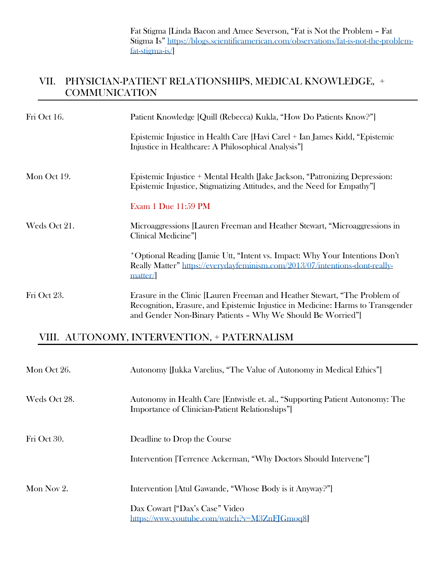Fat Stigma [Linda Bacon and Amee Severson, "Fat is Not the Problem – Fat Stigma Is" [https://blogs.scientificamerican.com/observations/fat-is-not-the-problem](https://blogs.scientificamerican.com/observations/fat-is-not-the-problem-fat-stigma-is/)[fat-stigma-is/\]](https://blogs.scientificamerican.com/observations/fat-is-not-the-problem-fat-stigma-is/)

## VII. PHYSICIAN-PATIENT RELATIONSHIPS, MEDICAL KNOWLEDGE, + **COMMUNICATION**

| Fri Oct 16.  | Patient Knowledge [Quill (Rebecca) Kukla, "How Do Patients Know?"]                                                                                                                                                          |
|--------------|-----------------------------------------------------------------------------------------------------------------------------------------------------------------------------------------------------------------------------|
|              | Epistemic Injustice in Health Care [Havi Carel + Ian James Kidd, "Epistemic<br>Injustice in Healthcare: A Philosophical Analysis"                                                                                           |
| Mon Oct 19.  | Epistemic Injustice + Mental Health [Jake Jackson, "Patronizing Depression:<br>Epistemic Injustice, Stigmatizing Attitudes, and the Need for Empathy"                                                                       |
|              | <b>Exam 1 Due 11:59 PM</b>                                                                                                                                                                                                  |
| Weds Oct 21. | Microaggressions [Lauren Freeman and Heather Stewart, "Microaggressions in<br>Clinical Medicine"                                                                                                                            |
|              | *Optional Reading [Jamie Utt, "Intent vs. Impact: Why Your Intentions Don't<br>Really Matter" https://everydayfeminism.com/2013/07/intentions-dont-really-<br>matter/                                                       |
| Fri Oct 23.  | Erasure in the Clinic [Lauren Freeman and Heather Stewart, "The Problem of<br>Recognition, Erasure, and Epistemic Injustice in Medicine: Harms to Transgender<br>and Gender Non-Binary Patients - Why We Should Be Worried" |

### VIII. AUTONOMY, INTERVENTION, + PATERNALISM

| Mon Oct 26.  | Autonomy [Jukka Varelius, "The Value of Autonomy in Medical Ethics"]                                                                          |
|--------------|-----------------------------------------------------------------------------------------------------------------------------------------------|
| Weds Oct 28. | Autonomy in Health Care [Entwistle et. al., "Supporting Patient Autonomy: The<br>Importance of Clinician-Patient Relationships"               |
| Fri Oct 30.  | Deadline to Drop the Course<br>Intervention [Terrence Ackerman, "Why Doctors Should Intervene"]                                               |
| Mon Nov 2.   | Intervention [Atul Gawande, "Whose Body is it Anyway?"]<br>Dax Cowart ["Dax's Case" Video<br>https://www.youtube.com/watch?v= $M3ZnF[Gm 0q8]$ |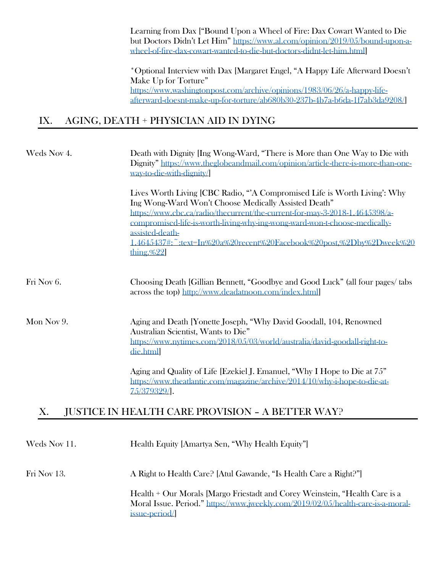Learning from Dax ["Bound Upon a Wheel of Fire: Dax Cowart Wanted to Die but Doctors Didn't Let Him" [https://www.al.com/opinion/2019/05/bound-upon-a](https://www.al.com/opinion/2019/05/bound-upon-a-wheel-of-fire-dax-cowart-wanted-to-die-but-doctors-didnt-let-him.html)[wheel-of-fire-dax-cowart-wanted-to-die-but-doctors-didnt-let-him.html\]](https://www.al.com/opinion/2019/05/bound-upon-a-wheel-of-fire-dax-cowart-wanted-to-die-but-doctors-didnt-let-him.html)

\*Optional Interview with Dax [Margaret Engel, "A Happy Life Afterward Doesn't Make Up for Torture" [https://www.washingtonpost.com/archive/opinions/1983/06/26/a-happy-life](https://www.washingtonpost.com/archive/opinions/1983/06/26/a-happy-life-afterward-doesnt-make-up-for-torture/ab680b30-237b-4b7a-b6da-1f7ab3da9208/)[afterward-doesnt-make-up-for-torture/ab680b30-237b-4b7a-b6da-1f7ab3da9208/\]](https://www.washingtonpost.com/archive/opinions/1983/06/26/a-happy-life-afterward-doesnt-make-up-for-torture/ab680b30-237b-4b7a-b6da-1f7ab3da9208/)

### IX. AGING, DEATH + PHYSICIAN AID IN DYING

| Weds Nov 4.  | Death with Dignity [Ing Wong-Ward, "There is More than One Way to Die with<br>Dignity" https://www.theglobeandmail.com/opinion/article-there-is-more-than-one-<br>way-to-die-with-dignity/                                                                                                                                                                                                              |  |
|--------------|---------------------------------------------------------------------------------------------------------------------------------------------------------------------------------------------------------------------------------------------------------------------------------------------------------------------------------------------------------------------------------------------------------|--|
|              | Lives Worth Living [CBC Radio, "A Compromised Life is Worth Living': Why<br>Ing Wong-Ward Won't Choose Medically Assisted Death"<br>https://www.cbc.ca/radio/thecurrent/the-current-for-may-3-2018-1.4645398/a-<br>compromised-life-is-worth-living-why-ing-wong-ward-won-t-choose-medically-<br>assisted-death-<br>1.4645437#:~:text=In%20a%20recent%20Facebook%20post,%2Dbv%2Dweek%20<br>thing. $%22$ |  |
| Fri Nov 6.   | Choosing Death [Gillian Bennett, "Goodbye and Good Luck" (all four pages/ tabs<br>across the top) http://www.deadatnoon.com/index.html                                                                                                                                                                                                                                                                  |  |
| Mon Nov 9.   | Aging and Death [Yonette Joseph, "Why David Goodall, 104, Renowned<br>Australian Scientist, Wants to Die"<br>https://www.nytimes.com/2018/05/03/world/australia/david-goodall-right-to-<br>die.html                                                                                                                                                                                                     |  |
|              | Aging and Quality of Life [Ezekiel J. Emanuel, "Why I Hope to Die at 75"<br>https://www.theatlantic.com/magazine/archive/2014/10/why-i-hope-to-die-at-<br>75/379329/                                                                                                                                                                                                                                    |  |
| X.           | <b>JUSTICE IN HEALTH CARE PROVISION - A BETTER WAY?</b>                                                                                                                                                                                                                                                                                                                                                 |  |
| Weds Nov 11. | Health Equity [Amartya Sen, "Why Health Equity"]                                                                                                                                                                                                                                                                                                                                                        |  |
| Fri Nov 13.  | A Right to Health Care? [Atul Gawande, "Is Health Care a Right?"]                                                                                                                                                                                                                                                                                                                                       |  |

Health + Our Morals [Margo Friestadt and Corey Weinstein, "Health Care is a Moral Issue. Period." [https://www.jweekly.com/2019/02/05/health-care-is-a-moral](https://www.jweekly.com/2019/02/05/health-care-is-a-moral-issue-period/)[issue-period/\]](https://www.jweekly.com/2019/02/05/health-care-is-a-moral-issue-period/)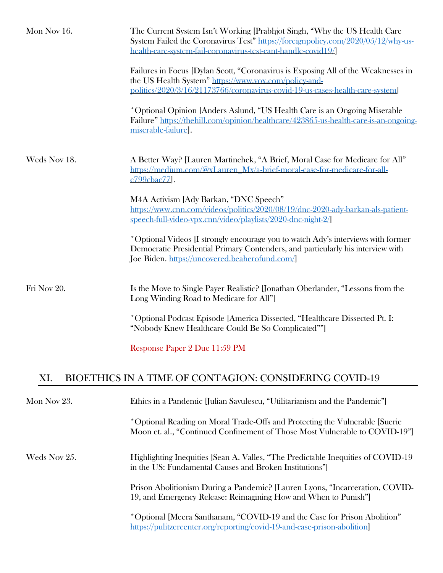| Mon Nov 16.  | The Current System Isn't Working [Prabhjot Singh, "Why the US Health Care<br>System Failed the Coronavirus Test" https://foreignpolicy.com/2020/05/12/why-us-<br>health-care-system-fail-coronavirus-test-cant-handle-covid19/ |
|--------------|--------------------------------------------------------------------------------------------------------------------------------------------------------------------------------------------------------------------------------|
|              | Failures in Focus [Dylan Scott, "Coronavirus is Exposing All of the Weaknesses in<br>the US Health System" https://www.vox.com/policy-and-<br>politics/2020/3/16/21173766/coronavirus-covid-19-us-cases-health-care-system]    |
|              | *Optional Opinion [Anders Aslund, "US Health Care is an Ongoing Miserable<br>Failure" https://thehill.com/opinion/healthcare/423865-us-health-care-is-an-ongoing-<br>miserable-failure].                                       |
| Weds Nov 18. | A Better Way? [Lauren Martinchek, "A Brief, Moral Case for Medicare for All"<br>https://medium.com/@xLauren_Mx/a-brief-moral-case-for-medicare-for-all-<br>c799cbac77.                                                         |
|              | M4A Activism [Ady Barkan, "DNC Speech"<br>https://www.cnn.com/videos/politics/2020/08/19/dnc-2020-ady-barkan-als-patient-<br>speech-full-video-vpx.cnn/video/playlists/2020-dnc-night-2/                                       |
|              | *Optional Videos [I strongly encourage you to watch Ady's interviews with former<br>Democratic Presidential Primary Contenders, and particularly his interview with<br>Joe Biden. https://uncovered.beaherofund.com/           |
| Fri Nov 20.  | Is the Move to Single Payer Realistic? [Jonathan Oberlander, "Lessons from the<br>Long Winding Road to Medicare for All"                                                                                                       |
|              | *Optional Podcast Episode [America Dissected, "Healthcare Dissected Pt. I:<br>"Nobody Knew Healthcare Could Be So Complicated""]                                                                                               |
|              | Response Paper 2 Due 11:59 PM                                                                                                                                                                                                  |
| XI.          | BIOETHICS IN A TIME OF CONTAGION: CONSIDERING COVID-19                                                                                                                                                                         |
| Mon Nov 23.  | Ethics in a Pandemic [Julian Savulescu, "Utilitarianism and the Pandemic"]                                                                                                                                                     |
|              | *Optional Reading on Moral Trade-Offs and Protecting the Vulnerable [Suerie<br>Moon et. al., "Continued Confinement of Those Most Vulnerable to COVID-19"]                                                                     |
| Weds Nov 25. | Highlighting Inequities [Sean A. Valles, "The Predictable Inequities of COVID-19<br>in the US: Fundamental Causes and Broken Institutions"]                                                                                    |
|              | Prison Abolitionism During a Pandemic? [Lauren Lyons, "Incarceration, COVID-<br>19, and Emergency Release: Reimagining How and When to Punish"                                                                                 |
|              | *Optional [Meera Santhanam, "COVID-19 and the Case for Prison Abolition"<br>https://pulitzercenter.org/reporting/covid-19-and-case-prison-abolition]                                                                           |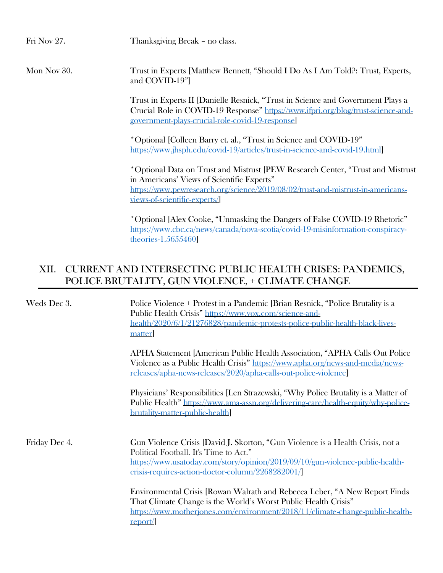Fri Nov 27. Thanksgiving Break – no class.

Mon Nov 30. Trust in Experts [Matthew Bennett, "Should I Do As I Am Told?: Trust, Experts, and COVID-19"]

> Trust in Experts II [Danielle Resnick, "Trust in Science and Government Plays a Crucial Role in COVID-19 Response" [https://www.ifpri.org/blog/trust-science-and](https://www.ifpri.org/blog/trust-science-and-government-plays-crucial-role-covid-19-response)[government-plays-crucial-role-covid-19-response\]](https://www.ifpri.org/blog/trust-science-and-government-plays-crucial-role-covid-19-response)

\*Optional [Colleen Barry et. al., "Trust in Science and COVID-19" [https://www.jhsph.edu/covid-19/articles/trust-in-science-and-covid-19.html\]](https://www.jhsph.edu/covid-19/articles/trust-in-science-and-covid-19.html)

\*Optional Data on Trust and Mistrust [PEW Research Center, "Trust and Mistrust in Americans' Views of Scientific Experts" [https://www.pewresearch.org/science/2019/08/02/trust-and-mistrust-in-americans](https://www.pewresearch.org/science/2019/08/02/trust-and-mistrust-in-americans-views-of-scientific-experts/)[views-of-scientific-experts/\]](https://www.pewresearch.org/science/2019/08/02/trust-and-mistrust-in-americans-views-of-scientific-experts/)

\*Optional [Alex Cooke, "Unmasking the Dangers of False COVID-19 Rhetoric" [https://www.cbc.ca/news/canada/nova-scotia/covid-19-misinformation-conspiracy](https://www.cbc.ca/news/canada/nova-scotia/covid-19-misinformation-conspiracy-theories-1.5655460)[theories-1.5655460\]](https://www.cbc.ca/news/canada/nova-scotia/covid-19-misinformation-conspiracy-theories-1.5655460)

## XII. CURRENT AND INTERSECTING PUBLIC HEALTH CRISES: PANDEMICS, POLICE BRUTALITY, GUN VIOLENCE, + CLIMATE CHANGE

| Weds Dec 3.   | Police Violence + Protest in a Pandemic [Brian Resnick, "Police Brutality is a<br>Public Health Crisis" https://www.vox.com/science-and-<br>health/2020/6/1/21276828/pandemic-protests-police-public-health-black-lives-<br>matter                                                          |  |  |
|---------------|---------------------------------------------------------------------------------------------------------------------------------------------------------------------------------------------------------------------------------------------------------------------------------------------|--|--|
|               | APHA Statement [American Public Health Association, "APHA Calls Out Police"<br>Violence as a Public Health Crisis" https://www.apha.org/news-and-media/news-<br>releases/apha-news-releases/2020/apha-calls-out-police-violence                                                             |  |  |
|               | Physicians' Responsibilities [Len Strazewski, "Why Police Brutality is a Matter of<br>Public Health" https://www.ama-assn.org/delivering-care/health-equity/why-police-<br>brutality-matter-public-health                                                                                   |  |  |
| Friday Dec 4. | Gun Violence Crisis [David J. Skorton, "Gun Violence is a Health Crisis, not a<br>Political Football. It's Time to Act."<br>https://www.usatoday.com/story/opinion/2019/09/10/gun-violence-public-health-<br>$crisis\text{-}requires\text{-}action\text{-}doctor\text{-}column/2268282001/$ |  |  |
|               | Environmental Crisis [Rowan Walrath and Rebecca Leber, "A New Report Finds"<br>That Climate Change is the World's Worst Public Health Crisis"<br>https://www.motherjones.com/environment/2018/11/climate-change-public-health-<br>report/                                                   |  |  |